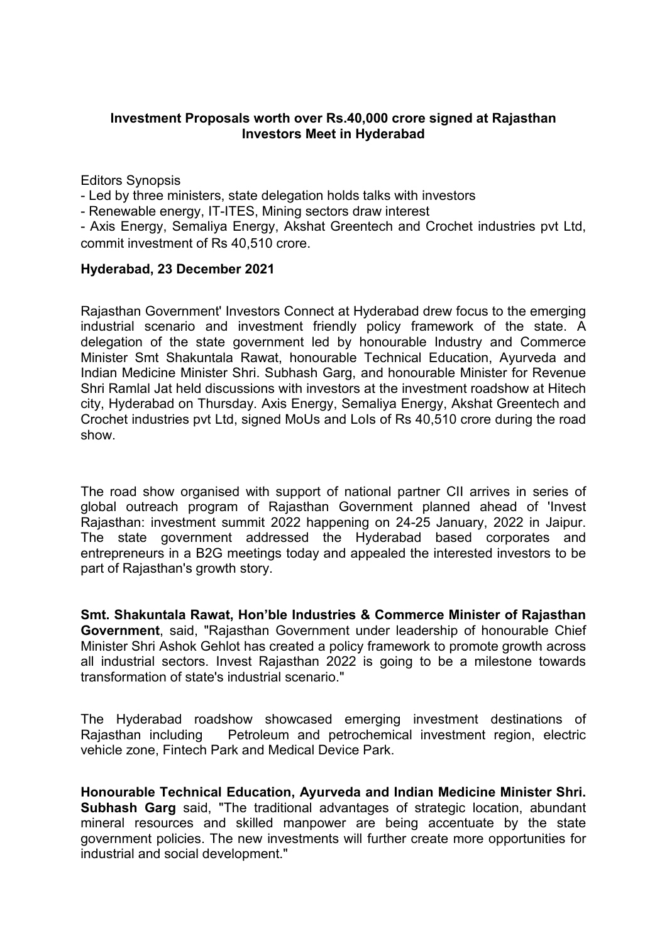## **Investment Proposals worth over Rs.40,000 crore signed at Rajasthan Investors Meet in Hyderabad**

Editors Synopsis

- Led by three ministers, state delegation holds talks with investors

- Renewable energy, IT-ITES, Mining sectors draw interest

- Axis Energy, Semaliya Energy, Akshat Greentech and Crochet industries pvt Ltd, commit investment of Rs 40,510 crore.

## **Hyderabad, 23 December 2021**

Rajasthan Government' Investors Connect at Hyderabad drew focus to the emerging industrial scenario and investment friendly policy framework of the state. A delegation of the state government led by honourable Industry and Commerce Minister Smt Shakuntala Rawat, honourable Technical Education, Ayurveda and Indian Medicine Minister Shri. Subhash Garg, and honourable Minister for Revenue Shri Ramlal Jat held discussions with investors at the investment roadshow at Hitech city, Hyderabad on Thursday. Axis Energy, Semaliya Energy, Akshat Greentech and Crochet industries pvt Ltd, signed MoUs and LoIs of Rs 40,510 crore during the road show.

The road show organised with support of national partner CII arrives in series of global outreach program of Rajasthan Government planned ahead of 'Invest Rajasthan: investment summit 2022 happening on 24-25 January, 2022 in Jaipur. The state government addressed the Hyderabad based corporates and entrepreneurs in a B2G meetings today and appealed the interested investors to be part of Rajasthan's growth story.

**Smt. Shakuntala Rawat, Hon'ble Industries & Commerce Minister of Rajasthan Government**, said, "Rajasthan Government under leadership of honourable Chief Minister Shri Ashok Gehlot has created a policy framework to promote growth across all industrial sectors. Invest Rajasthan 2022 is going to be a milestone towards transformation of state's industrial scenario."

The Hyderabad roadshow showcased emerging investment destinations of Rajasthan including Petroleum and petrochemical investment region, electric vehicle zone, Fintech Park and Medical Device Park.

**Honourable Technical Education, Ayurveda and Indian Medicine Minister Shri. Subhash Garg** said, "The traditional advantages of strategic location, abundant mineral resources and skilled manpower are being accentuate by the state government policies. The new investments will further create more opportunities for industrial and social development."